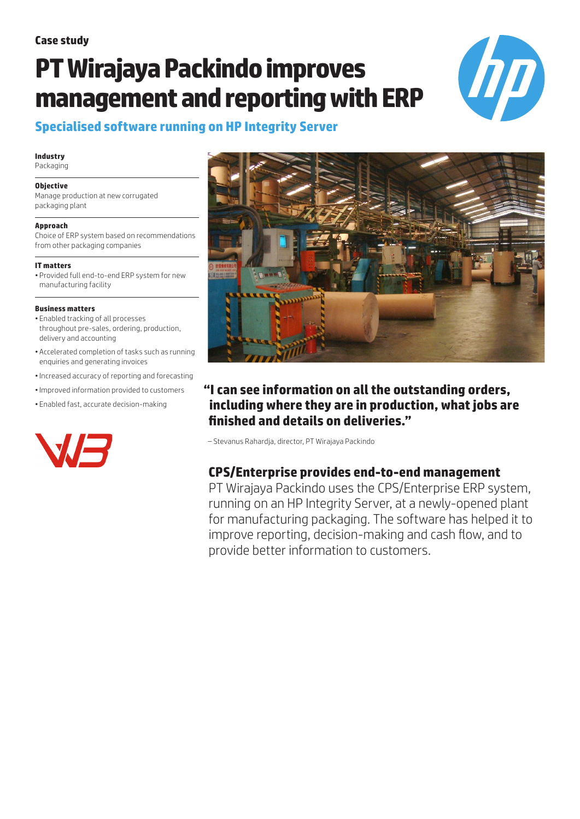# **PT Wirajaya Packindo improves management and reporting with ERP**



# **Specialised software running on HP Integrity Server**

#### **Industry**

Packaging

#### **Objective**

Manage production at new corrugated packaging plant

#### **Approach**

Choice of ERP system based on recommendations from other packaging companies

#### **IT matters**

• Provided full end-to-end ERP system for new manufacturing facility

#### **Business matters**

- Enabled tracking of all processes throughout pre-sales, ordering, production, delivery and accounting
- Accelerated completion of tasks such as running enquiries and generating invoices
- •Increased accuracy of reporting and forecasting
- •Improved information provided to customers
- Enabled fast, accurate decision-making





# **"I can see information on all the outstanding orders, including where they are in production, what jobs are finished and details on deliveries."**

– Stevanus Rahardja, director, PT Wirajaya Packindo

# **CPS/Enterprise provides end-to-end management**

PT Wirajaya Packindo uses the CPS/Enterprise ERP system, running on an HP Integrity Server, at a newly-opened plant for manufacturing packaging. The software has helped it to improve reporting, decision-making and cash flow, and to provide better information to customers.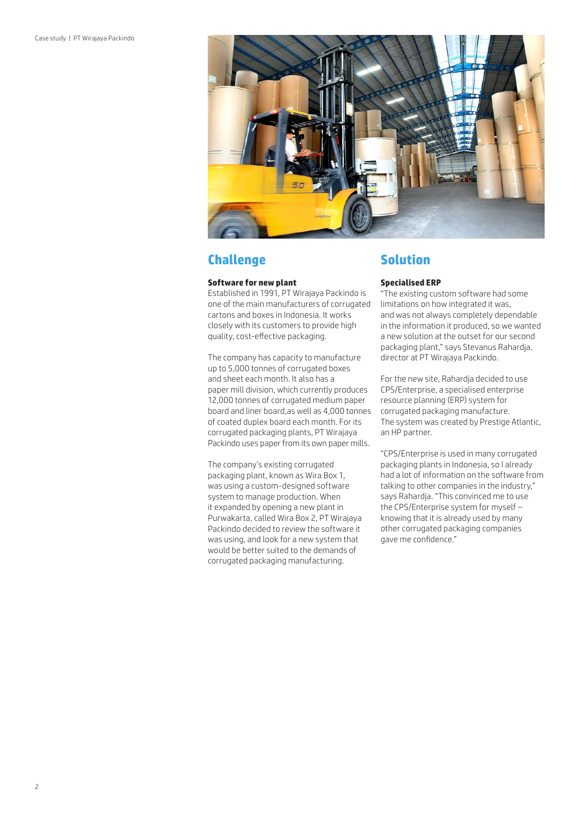

## **Challenge**

#### **Software for new plant**

Established in 1991, PT Wirajaya Packindo is one of the main manufacturers of corrugated cartons and boxes in Indonesia. It works closely with its customers to provide high quality, cost-effective packaging.

The company has capacity to manufacture up to 5,000 tonnes of corrugated boxes and sheet each month. It also has a paper mill division, which currently produces 12,000 tonnes of corrugated medium paper board and liner board,as well as 4,000 tonnes of coated duplex board each month. For its corrugated packaging plants, PT Wirajaya Packindo uses paper from its own paper mills.

The company's existing corrugated packaging plant, known as Wira Box 1, was using a custom-designed software system to manage production. When it expanded by opening a new plant in Purwakarta, called Wira Box 2, PT Wirajaya Packindo decided to review the software it was using, and look for a new system that would be better suited to the demands of corrugated packaging manufacturing.

## **Solution**

#### **Specialised ERP**

"The existing custom software had some limitations on how integrated it was, and was not always completely dependable in the information it produced, so we wanted a new solution at the outset for our second packaging plant," says Stevanus Rahardja, director at PT Wirajaya Packindo.

For the new site, Rahardja decided to use CPS/Enterprise, a specialised enterprise resource planning (ERP) system for corrugated packaging manufacture. The system was created by Prestige Atlantic, an HP partner.

"CPS/Enterprise is used in many corrugated packaging plants in Indonesia, so I already had a lot of information on the software from talking to other companies in the industry," says Rahardja. "This convinced me to use the CPS/Enterprise system for myself – knowing that it is already used by many other corrugated packaging companies gave me confidence."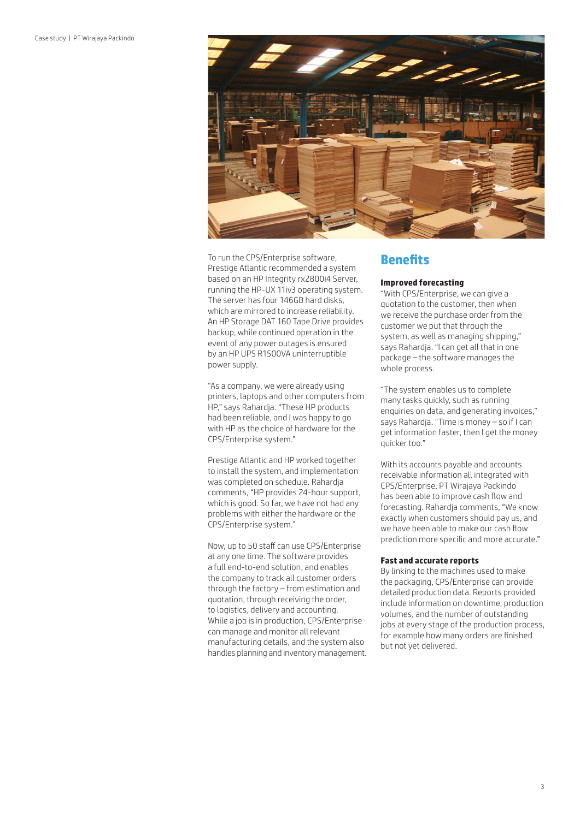

To run the CPS/Enterprise software, Prestige Atlantic recommended a system based on an HP Integrity rx2800i4 Server, running the HP-UX 11iv3 operating system. The server has four 146GB hard disks, which are mirrored to increase reliability. An HP Storage DAT 160 Tape Drive provides backup, while continued operation in the event of any power outages is ensured by an HP UPS R1500VA uninterruptible power supply.

"As a company, we were already using printers, laptops and other computers from HP," says Rahardja. "These HP products had been reliable, and I was happy to go with HP as the choice of hardware for the CPS/Enterprise system."

Prestige Atlantic and HP worked together to install the system, and implementation was completed on schedule. Rahardja comments, "HP provides 24-hour support, which is good. So far, we have not had any problems with either the hardware or the CPS/Enterprise system."

Now, up to 50 staff can use CPS/Enterprise at any one time. The software provides a full end-to-end solution, and enables the company to track all customer orders through the factory – from estimation and quotation, through receiving the order, to logistics, delivery and accounting. While a job is in production, CPS/Enterprise can manage and monitor all relevant manufacturing details, and the system also handles planning and inventory management.

### **Benefits**

#### **Improved forecasting**

"With CPS/Enterprise, we can give a quotation to the customer, then when we receive the purchase order from the customer we put that through the system, as well as managing shipping," says Rahardja. "I can get all that in one package – the software manages the whole process.

"The system enables us to complete many tasks quickly, such as running enquiries on data, and generating invoices," says Rahardja. "Time is money – so if I can get information faster, then I get the money quicker too."

With its accounts payable and accounts receivable information all integrated with CPS/Enterprise, PT Wirajaya Packindo has been able to improve cash flow and forecasting. Rahardja comments, "We know exactly when customers should pay us, and we have been able to make our cash flow prediction more specific and more accurate."

#### **Fast and accurate reports**

By linking to the machines used to make the packaging, CPS/Enterprise can provide detailed production data. Reports provided include information on downtime, production volumes, and the number of outstanding jobs at every stage of the production process, for example how many orders are finished but not yet delivered.